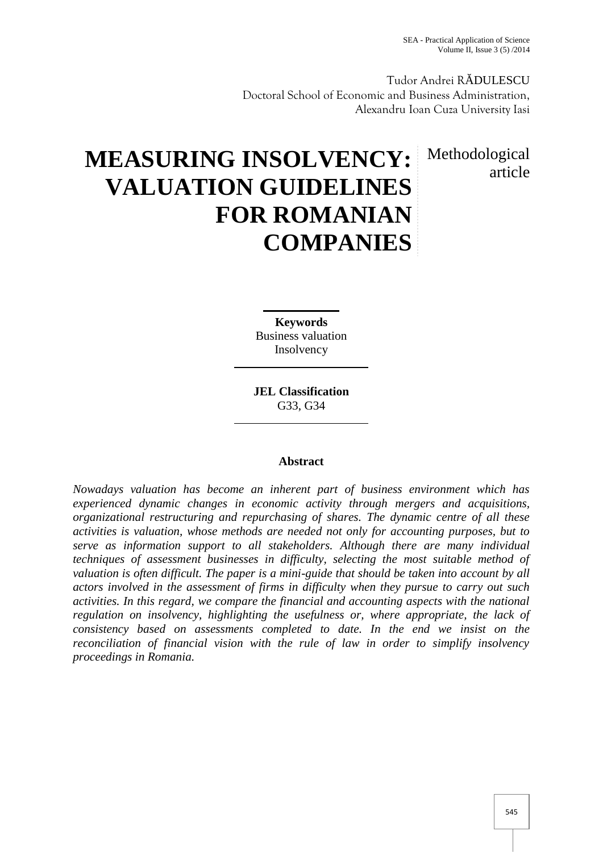Tudor Andrei R DULESCU Doctoral School of Economic and Business Administration, Alexandru Ioan Cuza University Iasi

# article

## **MEASURING INSOLVENCY:** Methodological **VALUATION GUIDELINES FOR ROMANIAN COMPANIES**

**Keywords** Business valuation Insolvency

**JEL Classification** G33, G34

### **Abstract**

*Nowadays valuation has become an inherent part of business environment which has experienced dynamic changes in economic activity through mergers and acquisitions, organizational restructuring and repurchasing of shares. The dynamic centre of all these activities is valuation, whose methods are needed not only for accounting purposes, but to serve as information support to all stakeholders. Although there are many individual techniques of assessment businesses in difficulty, selecting the most suitable method of valuation is often difficult. The paper is a mini-guide that should be taken into account by all actors involved in the assessment of firms in difficulty when they pursue to carry out such activities. In this regard, we compare the financial and accounting aspects with the national regulation on insolvency, highlighting the usefulness or, where appropriate, the lack of consistency based on assessments completed to date. In the end we insist on the reconciliation of financial vision with the rule of law in order to simplify insolvency proceedings in Romania.*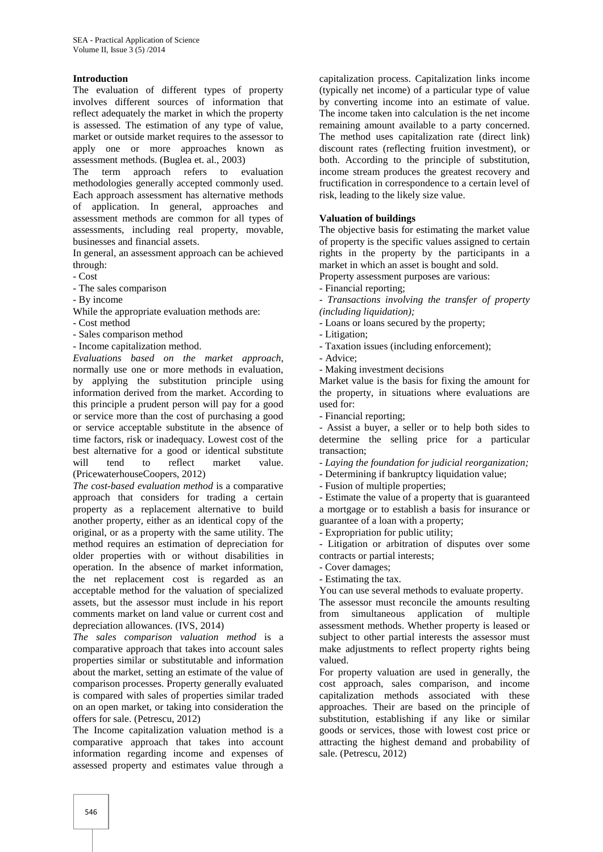#### **Introduction**

The evaluation of different types of property involves different sources of information that reflect adequately the market in which the property is assessed. The estimation of any type of value, market or outside market requires to the assessor to apply one or more approaches known as assessment methods. (Buglea et. al., 2003)

The term approach refers to evaluation methodologies generally accepted commonly used. Each approach assessment has alternative methods of application. In general, approaches and assessment methods are common for all types of assessments, including real property, movable, businesses and financial assets.

In general, an assessment approach can be achieved through:

- Cost

- The sales comparison
- By income
- While the appropriate evaluation methods are:
- Cost method

- Sales comparison method

- Income capitalization method.

*Evaluations based on the market approach*, normally use one or more methods in evaluation, by applying the substitution principle using information derived from the market. According to this principle a prudent person will pay for a good or service more than the cost of purchasing a good or service acceptable substitute in the absence of time factors, risk or inadequacy. Lowest cost of the best alternative for a good or identical substitute will tend to reflect market value. (PricewaterhouseCoopers, 2012)

*The cost-based evaluation method* is a comparative approach that considers for trading a certain property as a replacement alternative to build another property, either as an identical copy of the original, or as a property with the same utility. The method requires an estimation of depreciation for older properties with or without disabilities in operation. In the absence of market information, the net replacement cost is regarded as an acceptable method for the valuation of specialized assets, but the assessor must include in his report comments market on land value or current cost and depreciation allowances. (IVS, 2014)

*The sales comparison valuation method* is a comparative approach that takes into account sales properties similar or substitutable and information about the market, setting an estimate of the value of comparison processes. Property generally evaluated is compared with sales of properties similar traded on an open market, or taking into consideration the offers for sale. (Petrescu, 2012)

The Income capitalization valuation method is a comparative approach that takes into account information regarding income and expenses of assessed property and estimates value through a

capitalization process. Capitalization links income (typically net income) of a particular type of value by converting income into an estimate of value. The income taken into calculation is the net income remaining amount available to a party concerned. The method uses capitalization rate (direct link) discount rates (reflecting fruition investment), or both. According to the principle of substitution, income stream produces the greatest recovery and fructification in correspondence to a certain level of risk, leading to the likely size value.

#### **Valuation of buildings**

The objective basis for estimating the market value of property is the specific values assigned to certain rights in the property by the participants in a market in which an asset is bought and sold.

Property assessment purposes are various:

- Financial reporting;

- *Transactions involving the transfer of property (including liquidation);*

- Loans or loans secured by the property;

- Litigation;

- Taxation issues (including enforcement);

- Advice;
- Making investment decisions

Market value is the basis for fixing the amount for the property, in situations where evaluations are used for:

- Financial reporting;

- Assist a buyer, a seller or to help both sides to determine the selling price for a particular transaction;

- *Laying the foundation for judicial reorganization;*

- Determining if bankruptcy liquidation value;

- Fusion of multiple properties;

- Estimate the value of a property that is guaranteed a mortgage or to establish a basis for insurance or guarantee of a loan with a property;

- Expropriation for public utility;

- Litigation or arbitration of disputes over some contracts or partial interests;

- Cover damages;
- Estimating the tax.

You can use several methods to evaluate property.

The assessor must reconcile the amounts resulting from simultaneous application of multiple assessment methods. Whether property is leased or subject to other partial interests the assessor must make adjustments to reflect property rights being valued.

For property valuation are used in generally, the cost approach, sales comparison, and income capitalization methods associated with these approaches. Their are based on the principle of substitution, establishing if any like or similar goods or services, those with lowest cost price or attracting the highest demand and probability of sale. (Petrescu, 2012)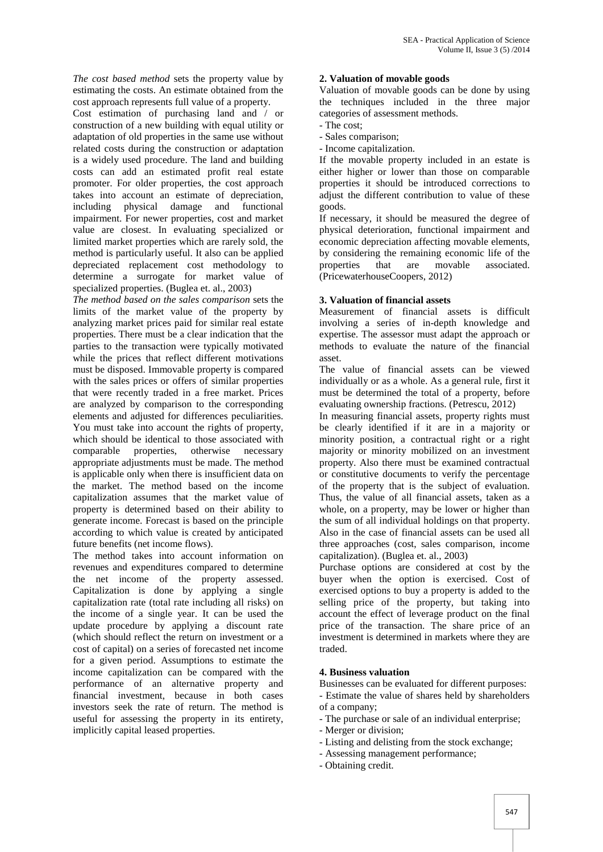*The cost based method* sets the property value by estimating the costs. An estimate obtained from the cost approach represents full value of a property.

Cost estimation of purchasing land and / or construction of a new building with equal utility or adaptation of old properties in the same use without related costs during the construction or adaptation is a widely used procedure. The land and building costs can add an estimated profit real estate promoter. For older properties, the cost approach takes into account an estimate of depreciation, including physical damage and functional impairment. For newer properties, cost and market value are closest. In evaluating specialized or limited market properties which are rarely sold, the method is particularly useful. It also can be applied depreciated replacement cost methodology to properties determine a surrogate for market value of specialized properties. (Buglea et. al., 2003)

*The method based on the sales comparison* sets the limits of the market value of the property by analyzing market prices paid for similar real estate properties. There must be a clear indication that the parties to the transaction were typically motivated while the prices that reflect different motivations must be disposed. Immovable property is compared with the sales prices or offers of similar properties that were recently traded in a free market. Prices are analyzed by comparison to the corresponding elements and adjusted for differences peculiarities. You must take into account the rights of property, which should be identical to those associated with comparable properties, otherwise necessary appropriate adjustments must be made. The method is applicable only when there is insufficient data on the market. The method based on the income capitalization assumes that the market value of property is determined based on their ability to generate income. Forecast is based on the principle according to which value is created by anticipated future benefits (net income flows).

The method takes into account information on revenues and expenditures compared to determine the net income of the property assessed. Capitalization is done by applying a single capitalization rate (total rate including all risks) on the income of a single year. It can be used the update procedure by applying a discount rate (which should reflect the return on investment or a cost of capital) on a series of forecasted net income for a given period. Assumptions to estimate the income capitalization can be compared with the performance of an alternative property and financial investment, because in both cases investors seek the rate of return. The method is useful for assessing the property in its entirety, implicitly capital leased properties.

#### **2. Valuation of movable goods**

Valuation of movable goods can be done by using the techniques included in the three major categories of assessment methods.

- The cost;
- Sales comparison;
- Income capitalization.

If the movable property included in an estate is either higher or lower than those on comparable properties it should be introduced corrections to adjust the different contribution to value of these goods.

If necessary, it should be measured the degree of physical deterioration, functional impairment and economic depreciation affecting movable elements, by considering the remaining economic life of the<br>properties that are movable associated. that are movable associated. (PricewaterhouseCoopers, 2012)

#### **3. Valuation of financial assets**

Measurement of financial assets is difficult involving a series of in-depth knowledge and expertise. The assessor must adapt the approach or methods to evaluate the nature of the financial asset.

The value of financial assets can be viewed individually or as a whole. As a general rule, first it must be determined the total of a property, before evaluating ownership fractions. (Petrescu, 2012)

In measuring financial assets, property rights must be clearly identified if it are in a majority or minority position, a contractual right or a right majority or minority mobilized on an investment property. Also there must be examined contractual or constitutive documents to verify the percentage of the property that is the subject of evaluation. Thus, the value of all financial assets, taken as a whole, on a property, may be lower or higher than the sum of all individual holdings on that property. Also in the case of financial assets can be used all three approaches (cost, sales comparison, income capitalization). (Buglea et. al., 2003)

Purchase options are considered at cost by the buyer when the option is exercised. Cost of exercised options to buy a property is added to the selling price of the property, but taking into account the effect of leverage product on the final price of the transaction. The share price of an investment is determined in markets where they are traded.

#### **4. Business valuation**

Businesses can be evaluated for different purposes:

- Estimate the value of shares held by shareholders of a company;

- The purchase or sale of an individual enterprise;
- Merger or division;
- Listing and delisting from the stock exchange;
- Assessing management performance;
- Obtaining credit.